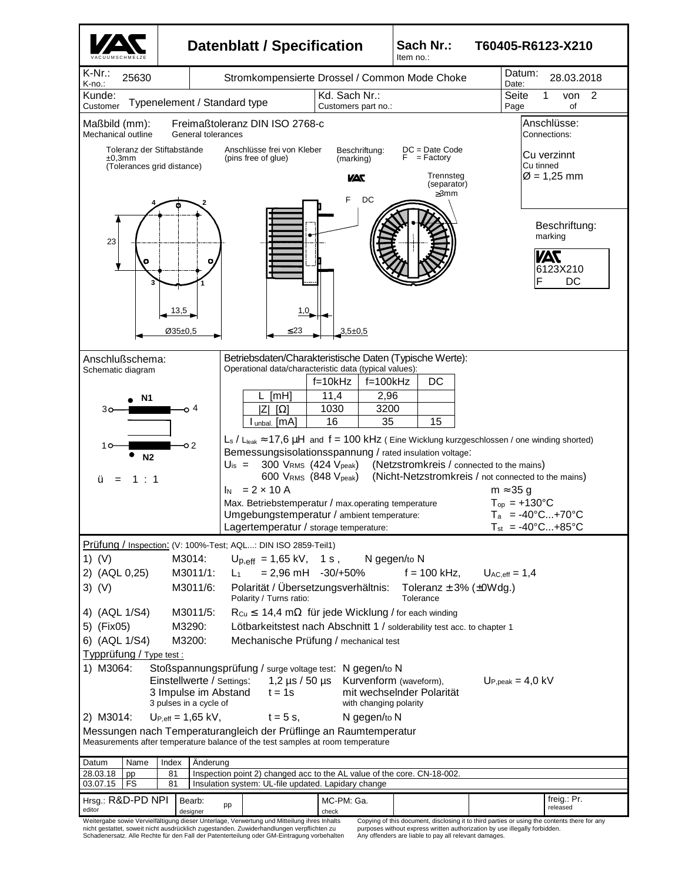

Schadenersatz. Alle Rechte für den Fall der Patenterteilung oder GM-Eintragung vorbehalten

purposes without express written authorization by use illegally forbidden. Any offenders are liable to pay all relevant damages.